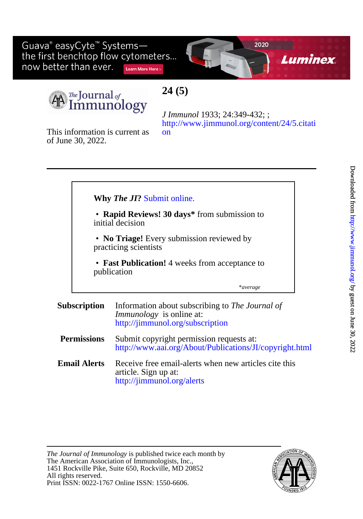Guava® easyCyte<sup>™</sup> Systemsthe first benchtop flow cytometers... now better than ever. Learn More Here >





## **24 (5)**

[on](http://www.jimmunol.org/content/24/5.citation) [http://www.jimmunol.org/content/24/5.citati](http://www.jimmunol.org/content/24/5.citation) *J Immunol* 1933; 24:349-432; ;

of June 30, 2022. This information is current as

\**average* Î publication • **Fast Publication!** 4 weeks from acceptance to Ī practicing scientists • **No Triage!** Every submission reviewed by initial decision • **Rapid Reviews! 30 days\*** from submission to **Why** *The JI***?** [Submit online.](https://ji.msubmit.net) **Subscription** <http://jimmunol.org/subscription> *Immunology* is online at: Information about subscribing to *The Journal of* **Permissions** <http://www.aai.org/About/Publications/JI/copyright.html> Submit copyright permission requests at: **Email Alerts** <http://jimmunol.org/alerts> article. Sign up at: Receive free email-alerts when new articles cite this